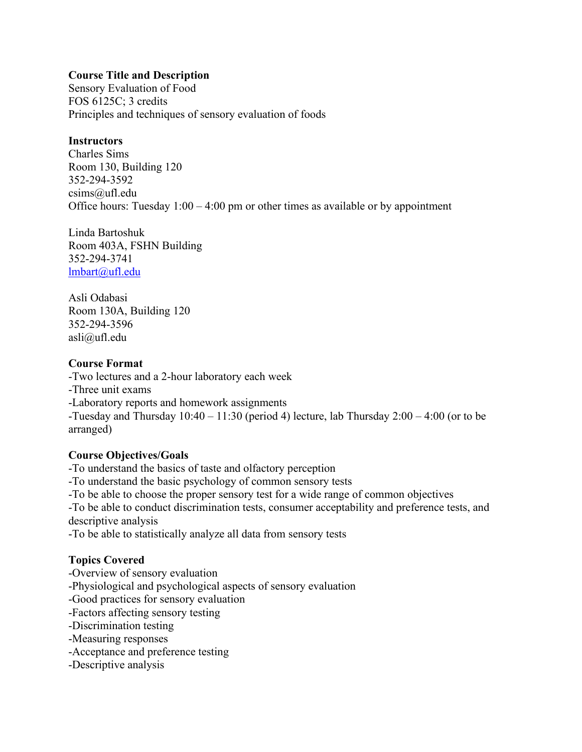## **Course Title and Description**

Sensory Evaluation of Food FOS 6125C; 3 credits Principles and techniques of sensory evaluation of foods

## **Instructors**

Charles Sims Room 130, Building 120 352-294-3592 csims@ufl.edu Office hours: Tuesday  $1:00 - 4:00$  pm or other times as available or by appointment

Linda Bartoshuk Room 403A, FSHN Building 352-294-3741 [lmbart@ufl.edu](mailto:lmbart@ufl.edu)

Asli Odabasi Room 130A, Building 120 352-294-3596 asli@ufl.edu

## **Course Format**

-Two lectures and a 2-hour laboratory each week

- -Three unit exams
- -Laboratory reports and homework assignments

-Tuesday and Thursday  $10:40 - 11:30$  (period 4) lecture, lab Thursday  $2:00 - 4:00$  (or to be arranged)

# **Course Objectives/Goals**

-To understand the basics of taste and olfactory perception

-To understand the basic psychology of common sensory tests

-To be able to choose the proper sensory test for a wide range of common objectives

-To be able to conduct discrimination tests, consumer acceptability and preference tests, and descriptive analysis

-To be able to statistically analyze all data from sensory tests

# **Topics Covered**

- -Overview of sensory evaluation
- -Physiological and psychological aspects of sensory evaluation
- -Good practices for sensory evaluation
- -Factors affecting sensory testing
- -Discrimination testing
- -Measuring responses
- -Acceptance and preference testing
- -Descriptive analysis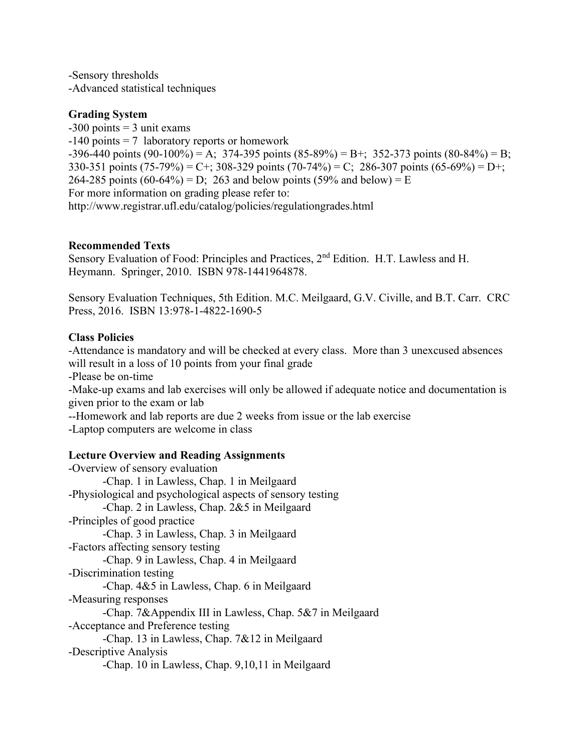-Sensory thresholds -Advanced statistical techniques

## **Grading System**

 $-300$  points  $= 3$  unit exams  $-140$  points = 7 laboratory reports or homework  $-396-440$  points (90-100%) = A; 374-395 points (85-89%) = B+; 352-373 points (80-84%) = B; 330-351 points (75-79%) = C+; 308-329 points (70-74%) = C; 286-307 points (65-69%) = D+; 264-285 points (60-64%) = D; 263 and below points (59% and below) = E For more information on grading please refer to: http://www.registrar.ufl.edu/catalog/policies/regulationgrades.html

## **Recommended Texts**

Sensory Evaluation of Food: Principles and Practices, 2<sup>nd</sup> Edition. H.T. Lawless and H. Heymann. Springer, 2010. ISBN 978-1441964878.

Sensory Evaluation Techniques, 5th Edition. M.C. Meilgaard, G.V. Civille, and B.T. Carr. CRC Press, 2016. ISBN 13:978-1-4822-1690-5

## **Class Policies**

-Attendance is mandatory and will be checked at every class. More than 3 unexcused absences will result in a loss of 10 points from your final grade

-Please be on-time

-Make-up exams and lab exercises will only be allowed if adequate notice and documentation is given prior to the exam or lab

--Homework and lab reports are due 2 weeks from issue or the lab exercise

-Laptop computers are welcome in class

# **Lecture Overview and Reading Assignments**

-Overview of sensory evaluation -Chap. 1 in Lawless, Chap. 1 in Meilgaard -Physiological and psychological aspects of sensory testing -Chap. 2 in Lawless, Chap. 2&5 in Meilgaard -Principles of good practice -Chap. 3 in Lawless, Chap. 3 in Meilgaard -Factors affecting sensory testing -Chap. 9 in Lawless, Chap. 4 in Meilgaard -Discrimination testing -Chap. 4&5 in Lawless, Chap. 6 in Meilgaard -Measuring responses -Chap. 7&Appendix III in Lawless, Chap. 5&7 in Meilgaard -Acceptance and Preference testing -Chap. 13 in Lawless, Chap. 7&12 in Meilgaard -Descriptive Analysis -Chap. 10 in Lawless, Chap. 9,10,11 in Meilgaard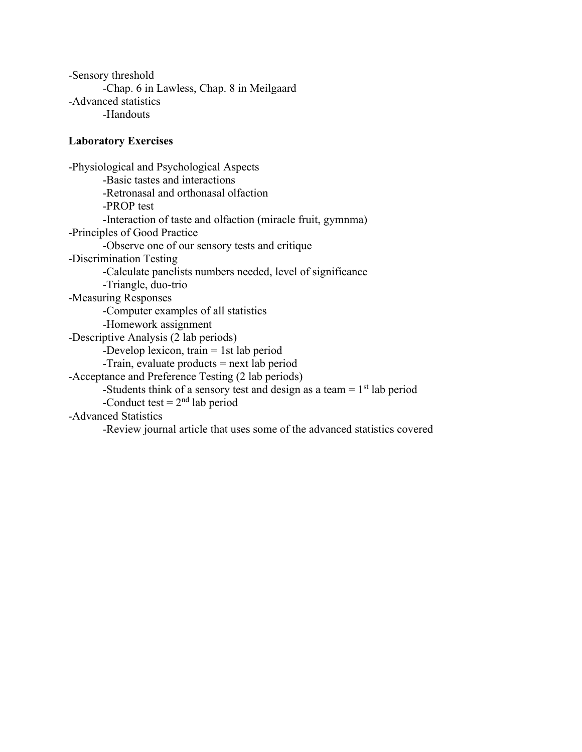-Sensory threshold -Chap. 6 in Lawless, Chap. 8 in Meilgaard -Advanced statistics -Handouts

## **Laboratory Exercises**

-Physiological and Psychological Aspects -Basic tastes and interactions -Retronasal and orthonasal olfaction -PROP test -Interaction of taste and olfaction (miracle fruit, gymnma) -Principles of Good Practice -Observe one of our sensory tests and critique -Discrimination Testing -Calculate panelists numbers needed, level of significance -Triangle, duo-trio -Measuring Responses -Computer examples of all statistics -Homework assignment -Descriptive Analysis (2 lab periods) -Develop lexicon, train = 1st lab period -Train, evaluate products = next lab period -Acceptance and Preference Testing (2 lab periods) -Students think of a sensory test and design as a team  $= 1<sup>st</sup>$  lab period -Conduct test  $= 2<sup>nd</sup>$  lab period -Advanced Statistics -Review journal article that uses some of the advanced statistics covered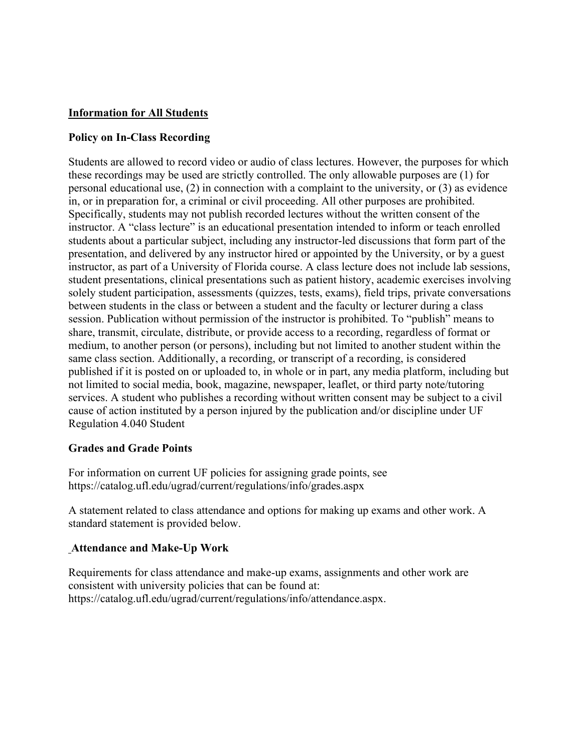# **Information for All Students**

## **Policy on In-Class Recording**

Students are allowed to record video or audio of class lectures. However, the purposes for which these recordings may be used are strictly controlled. The only allowable purposes are (1) for personal educational use, (2) in connection with a complaint to the university, or (3) as evidence in, or in preparation for, a criminal or civil proceeding. All other purposes are prohibited. Specifically, students may not publish recorded lectures without the written consent of the instructor. A "class lecture" is an educational presentation intended to inform or teach enrolled students about a particular subject, including any instructor-led discussions that form part of the presentation, and delivered by any instructor hired or appointed by the University, or by a guest instructor, as part of a University of Florida course. A class lecture does not include lab sessions, student presentations, clinical presentations such as patient history, academic exercises involving solely student participation, assessments (quizzes, tests, exams), field trips, private conversations between students in the class or between a student and the faculty or lecturer during a class session. Publication without permission of the instructor is prohibited. To "publish" means to share, transmit, circulate, distribute, or provide access to a recording, regardless of format or medium, to another person (or persons), including but not limited to another student within the same class section. Additionally, a recording, or transcript of a recording, is considered published if it is posted on or uploaded to, in whole or in part, any media platform, including but not limited to social media, book, magazine, newspaper, leaflet, or third party note/tutoring services. A student who publishes a recording without written consent may be subject to a civil cause of action instituted by a person injured by the publication and/or discipline under UF Regulation 4.040 Student

#### **Grades and Grade Points**

For information on current UF policies for assigning grade points, see https://catalog.ufl.edu/ugrad/current/regulations/info/grades.aspx

A statement related to class attendance and options for making up exams and other work. A standard statement is provided below.

# **Attendance and Make-Up Work**

Requirements for class attendance and make-up exams, assignments and other work are consistent with university policies that can be found at: https://catalog.ufl.edu/ugrad/current/regulations/info/attendance.aspx.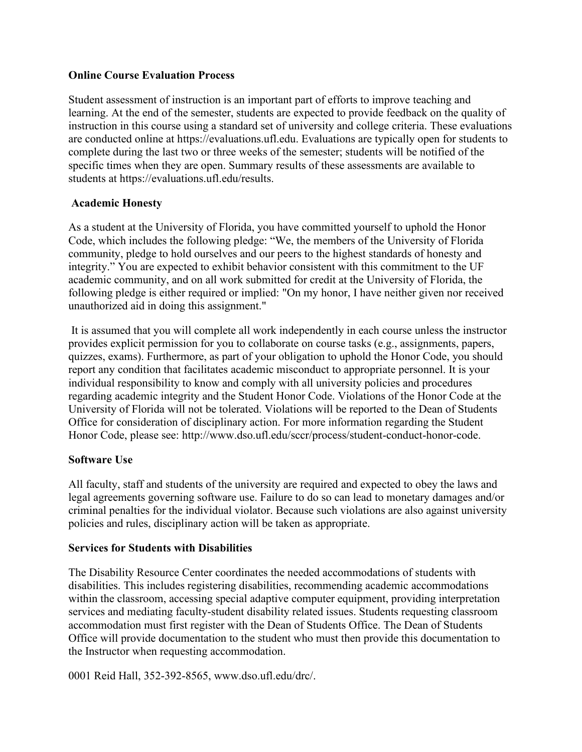## **Online Course Evaluation Process**

Student assessment of instruction is an important part of efforts to improve teaching and learning. At the end of the semester, students are expected to provide feedback on the quality of instruction in this course using a standard set of university and college criteria. These evaluations are conducted online at https://evaluations.ufl.edu. Evaluations are typically open for students to complete during the last two or three weeks of the semester; students will be notified of the specific times when they are open. Summary results of these assessments are available to students at https://evaluations.ufl.edu/results.

# **Academic Honesty**

As a student at the University of Florida, you have committed yourself to uphold the Honor Code, which includes the following pledge: "We, the members of the University of Florida community, pledge to hold ourselves and our peers to the highest standards of honesty and integrity." You are expected to exhibit behavior consistent with this commitment to the UF academic community, and on all work submitted for credit at the University of Florida, the following pledge is either required or implied: "On my honor, I have neither given nor received unauthorized aid in doing this assignment."

It is assumed that you will complete all work independently in each course unless the instructor provides explicit permission for you to collaborate on course tasks (e.g., assignments, papers, quizzes, exams). Furthermore, as part of your obligation to uphold the Honor Code, you should report any condition that facilitates academic misconduct to appropriate personnel. It is your individual responsibility to know and comply with all university policies and procedures regarding academic integrity and the Student Honor Code. Violations of the Honor Code at the University of Florida will not be tolerated. Violations will be reported to the Dean of Students Office for consideration of disciplinary action. For more information regarding the Student Honor Code, please see: http://www.dso.ufl.edu/sccr/process/student-conduct-honor-code.

# **Software Use**

All faculty, staff and students of the university are required and expected to obey the laws and legal agreements governing software use. Failure to do so can lead to monetary damages and/or criminal penalties for the individual violator. Because such violations are also against university policies and rules, disciplinary action will be taken as appropriate.

# **Services for Students with Disabilities**

The Disability Resource Center coordinates the needed accommodations of students with disabilities. This includes registering disabilities, recommending academic accommodations within the classroom, accessing special adaptive computer equipment, providing interpretation services and mediating faculty-student disability related issues. Students requesting classroom accommodation must first register with the Dean of Students Office. The Dean of Students Office will provide documentation to the student who must then provide this documentation to the Instructor when requesting accommodation.

0001 Reid Hall, 352-392-8565, www.dso.ufl.edu/drc/.